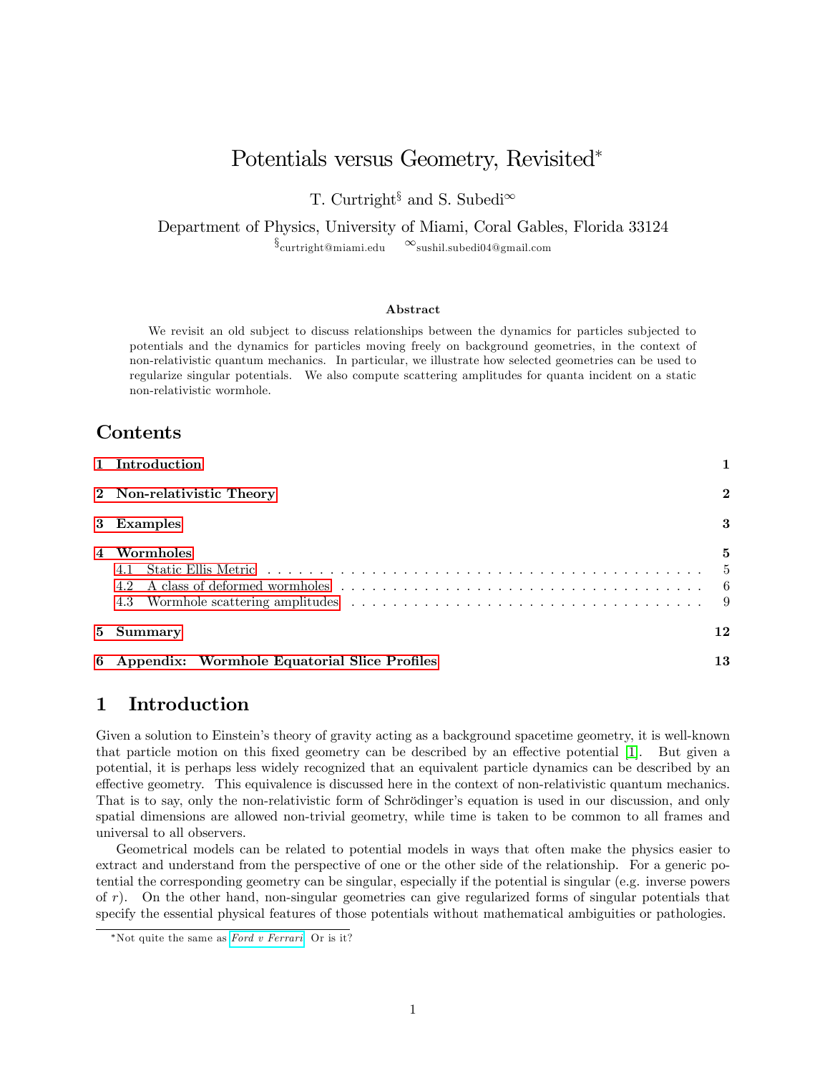# Potentials versus Geometry, Revisited

T. Curtright<sup>§</sup> and S. Subedi<sup>∞</sup>

Department of Physics, University of Miami, Coral Gables, Florida 33124

 $\S_{\text{curtright@miami.edu}}$  $\infty$ sushil.subedi04@gmail.com

#### Abstract

We revisit an old subject to discuss relationships between the dynamics for particles subjected to potentials and the dynamics for particles moving freely on background geometries, in the context of non-relativistic quantum mechanics. In particular, we illustrate how selected geometries can be used to regularize singular potentials. We also compute scattering amplitudes for quanta incident on a static non-relativistic wormhole.

### Contents

| 1 Introduction                                 |                 |
|------------------------------------------------|-----------------|
| 2 Non-relativistic Theory                      | $\bf{2}$        |
| 3 Examples                                     | 3               |
| 4 Wormholes<br>4.2<br>4.3                      | 5<br>- 5<br>- 9 |
| 5 Summary                                      | 12              |
| 6 Appendix: Wormhole Equatorial Slice Profiles | 13              |

## <span id="page-0-0"></span>1 Introduction

Given a solution to Einstein's theory of gravity acting as a background spacetime geometry, it is well-known that particle motion on this fixed geometry can be described by an effective potential [\[1\]](#page-14-0). But given a potential, it is perhaps less widely recognized that an equivalent particle dynamics can be described by an effective geometry. This equivalence is discussed here in the context of non-relativistic quantum mechanics. That is to say, only the non-relativistic form of Schrödinger's equation is used in our discussion, and only spatial dimensions are allowed non-trivial geometry, while time is taken to be common to all frames and universal to all observers.

Geometrical models can be related to potential models in ways that often make the physics easier to extract and understand from the perspective of one or the other side of the relationship. For a generic potential the corresponding geometry can be singular, especially if the potential is singular (e.g. inverse powers of r). On the other hand, non-singular geometries can give regularized forms of singular potentials that specify the essential physical features of those potentials without mathematical ambiguities or pathologies.

<sup>\*</sup>Not quite the same as  $Ford$  v  $Ferrari$ . Or is it?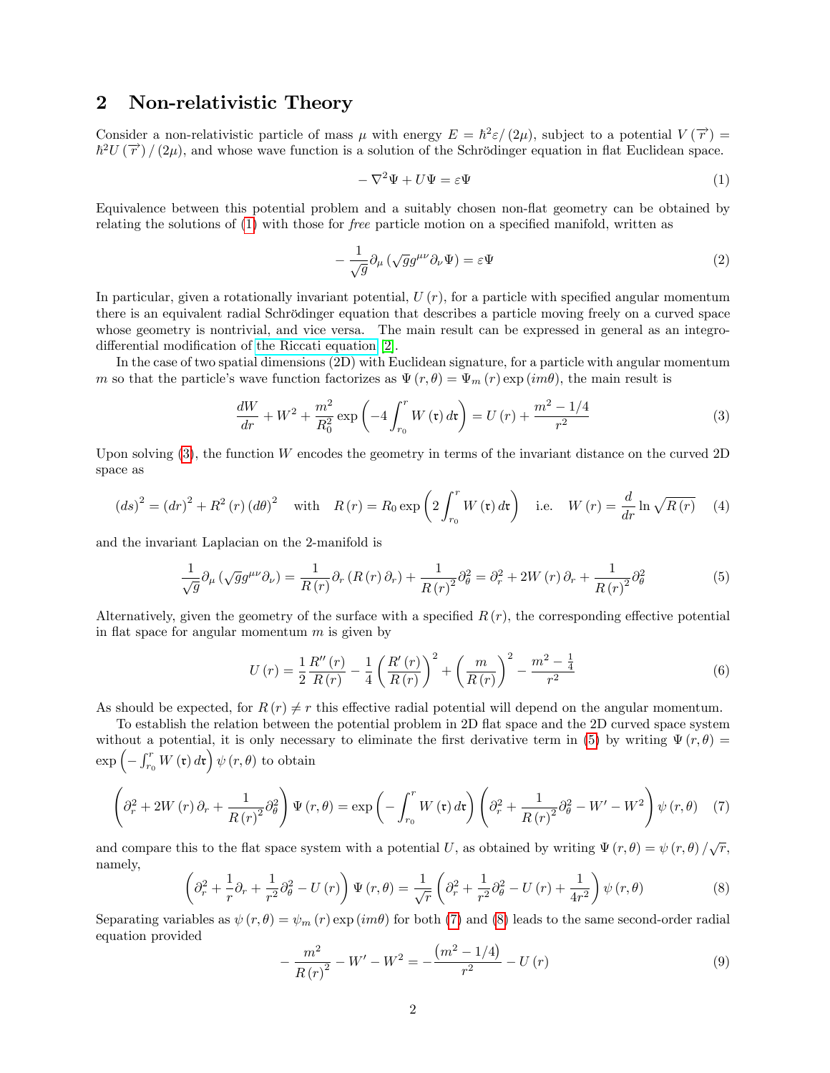### <span id="page-1-0"></span>2 Non-relativistic Theory

Consider a non-relativistic particle of mass  $\mu$  with energy  $E = \hbar^2 \varepsilon/(2\mu)$ , subject to a potential  $V(\vec{r}) =$  $\hbar^2 U(\vec{r})/(2\mu)$ , and whose wave function is a solution of the Schrödinger equation in flat Euclidean space.

<span id="page-1-1"></span>
$$
-\nabla^2\Psi + U\Psi = \varepsilon\Psi \tag{1}
$$

Equivalence between this potential problem and a suitably chosen non-áat geometry can be obtained by relating the solutions of  $(1)$  with those for *free* particle motion on a specified manifold, written as

<span id="page-1-8"></span>
$$
-\frac{1}{\sqrt{g}}\partial_{\mu}\left(\sqrt{g}g^{\mu\nu}\partial_{\nu}\Psi\right) = \varepsilon\Psi\tag{2}
$$

In particular, given a rotationally invariant potential,  $U(r)$ , for a particle with specified angular momentum there is an equivalent radial Schrödinger equation that describes a particle moving freely on a curved space whose geometry is nontrivial, and vice versa. The main result can be expressed in general as an integrodifferential modification of [the Riccati equation](https://en.wikipedia.org/wiki/Riccati_equation) [\[2\]](#page-14-1).

In the case of two spatial dimensions (2D) with Euclidean signature, for a particle with angular momentum m so that the particle's wave function factorizes as  $\Psi(r, \theta) = \Psi_m(r) \exp(im\theta)$ , the main result is

<span id="page-1-2"></span>
$$
\frac{dW}{dr} + W^2 + \frac{m^2}{R_0^2} \exp\left(-4 \int_{r_0}^r W(\mathfrak{r}) d\mathfrak{r}\right) = U(r) + \frac{m^2 - 1/4}{r^2} \tag{3}
$$

Upon solving  $(3)$ , the function W encodes the geometry in terms of the invariant distance on the curved 2D space as

<span id="page-1-7"></span>
$$
(ds)^{2} = (dr)^{2} + R^{2}(r) (d\theta)^{2} \quad \text{with} \quad R(r) = R_{0} \exp\left(2 \int_{r_{0}}^{r} W(\mathfrak{r}) d\mathfrak{r}\right) \quad \text{i.e.} \quad W(r) = \frac{d}{dr} \ln \sqrt{R(r)} \tag{4}
$$

and the invariant Laplacian on the 2-manifold is

<span id="page-1-3"></span>
$$
\frac{1}{\sqrt{g}}\partial_{\mu}\left(\sqrt{g}g^{\mu\nu}\partial_{\nu}\right) = \frac{1}{R(r)}\partial_{r}\left(R(r)\partial_{r}\right) + \frac{1}{R(r)^{2}}\partial_{\theta}^{2} = \partial_{r}^{2} + 2W(r)\partial_{r} + \frac{1}{R(r)^{2}}\partial_{\theta}^{2}
$$
(5)

Alternatively, given the geometry of the surface with a specified  $R(r)$ , the corresponding effective potential in flat space for angular momentum  $m$  is given by

<span id="page-1-6"></span>
$$
U(r) = \frac{1}{2} \frac{R''(r)}{R(r)} - \frac{1}{4} \left(\frac{R'(r)}{R(r)}\right)^2 + \left(\frac{m}{R(r)}\right)^2 - \frac{m^2 - \frac{1}{4}}{r^2}
$$
(6)

As should be expected, for  $R(r) \neq r$  this effective radial potential will depend on the angular momentum.

To establish the relation between the potential problem in 2D flat space and the 2D curved space system without a potential, it is only necessary to eliminate the first derivative term in [\(5\)](#page-1-3) by writing  $\Psi(r, \theta) =$  $\exp\left(-\int_{r_0}^r W\left(\mathfrak{r}\right) d\mathfrak{r}\right) \psi\left(r,\theta\right)$  to obtain

<span id="page-1-4"></span>
$$
\left(\partial_r^2 + 2W(r)\partial_r + \frac{1}{R(r)^2}\partial_\theta^2\right)\Psi(r,\theta) = \exp\left(-\int_{r_0}^r W(\mathfrak{r})\,d\mathfrak{r}\right)\left(\partial_r^2 + \frac{1}{R(r)^2}\partial_\theta^2 - W' - W^2\right)\psi(r,\theta) \tag{7}
$$

and compare this to the flat space system with a potential U, as obtained by writing  $\Psi(r,\theta) = \psi(r,\theta)/\sqrt{r}$ , namely,

<span id="page-1-5"></span>
$$
\left(\partial_r^2 + \frac{1}{r}\partial_r + \frac{1}{r^2}\partial_\theta^2 - U(r)\right)\Psi(r,\theta) = \frac{1}{\sqrt{r}}\left(\partial_r^2 + \frac{1}{r^2}\partial_\theta^2 - U(r) + \frac{1}{4r^2}\right)\psi(r,\theta)
$$
\n(8)

Separating variables as  $\psi(r, \theta) = \psi_m(r) \exp(im\theta)$  for both [\(7\)](#page-1-4) and [\(8\)](#page-1-5) leads to the same second-order radial equation provided

$$
-\frac{m^2}{R(r)^2} - W' - W^2 = -\frac{(m^2 - 1/4)}{r^2} - U(r)
$$
\n(9)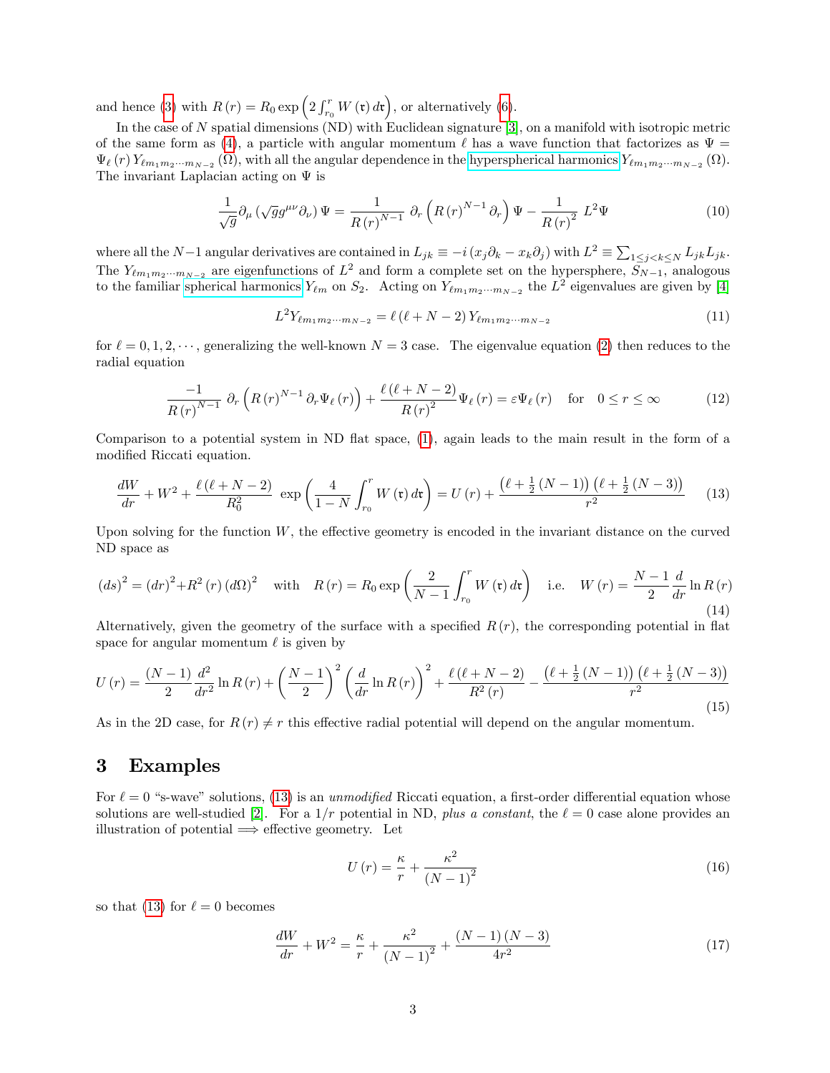and hence [\(3\)](#page-1-2) with  $R(r) = R_0 \exp\left(2 \int_{r_0}^r W(\mathfrak{r}) d\mathfrak{r}\right)$ , or alternatively [\(6\)](#page-1-6).

In the case of N spatial dimensions (ND) with Euclidean signature [\[3\]](#page-14-2), on a manifold with isotropic metric of the same form as [\(4\)](#page-1-7), a particle with angular momentum  $\ell$  has a wave function that factorizes as  $\Psi =$  $\Psi_{\ell}(r) Y_{\ell m_1 m_2 \cdots m_{N-2}}(\Omega)$ , with all the angular dependence in the [hyperspherical harmonics](https://en.wikipedia.org/wiki/Spherical_harmonics)  $Y_{\ell m_1 m_2 \cdots m_{N-2}}(\Omega)$ . The invariant Laplacian acting on  $\Psi$  is

$$
\frac{1}{\sqrt{g}}\partial_{\mu}\left(\sqrt{g}g^{\mu\nu}\partial_{\nu}\right)\Psi = \frac{1}{R(r)^{N-1}}\,\partial_{r}\left(R(r)^{N-1}\partial_{r}\right)\Psi - \frac{1}{R(r)^{2}}\,L^{2}\Psi\tag{10}
$$

where all the N-1 angular derivatives are contained in  $L_{jk} \equiv -i(x_j\partial_k - x_k\partial_j)$  with  $L^2 \equiv \sum_{1 \leq j < k \leq N} L_{jk}L_{jk}$ . The  $Y_{\ell m_1 m_2 \cdots m_{N-2}}$  are eigenfunctions of  $L^2$  and form a complete set on the hypersphere,  $S_{N-1}$ , analogous to the familiar [spherical harmonics](https://en.wikipedia.org/wiki/Spherical_harmonics)  $Y_{\ell m}$  on  $S_2$ . Acting on  $Y_{\ell m_1m_2\cdots m_{N-2}}$  the  $L^2$  eigenvalues are given by [\[4\]](#page-14-3)

$$
L^{2}Y_{\ell m_{1}m_{2}\cdots m_{N-2}} = \ell(\ell+N-2)Y_{\ell m_{1}m_{2}\cdots m_{N-2}}
$$
\n(11)

for  $\ell = 0, 1, 2, \cdots$ , generalizing the well-known  $N = 3$  case. The eigenvalue equation [\(2\)](#page-1-8) then reduces to the radial equation

$$
\frac{-1}{R(r)^{N-1}} \partial_r \left( R(r)^{N-1} \partial_r \Psi_\ell(r) \right) + \frac{\ell(\ell+N-2)}{R(r)^2} \Psi_\ell(r) = \varepsilon \Psi_\ell(r) \quad \text{for} \quad 0 \le r \le \infty \tag{12}
$$

Comparison to a potential system in ND flat space,  $(1)$ , again leads to the main result in the form of a modified Riccati equation.

<span id="page-2-1"></span>
$$
\frac{dW}{dr} + W^2 + \frac{\ell(\ell+N-2)}{R_0^2} \exp\left(\frac{4}{1-N} \int_{r_0}^r W(\mathfrak{r}) d\mathfrak{r}\right) = U(r) + \frac{(\ell+\frac{1}{2}(N-1))(\ell+\frac{1}{2}(N-3))}{r^2} \tag{13}
$$

Upon solving for the function  $W$ , the effective geometry is encoded in the invariant distance on the curved ND space as

<span id="page-2-2"></span>
$$
(ds)^{2} = (dr)^{2} + R^{2}(r) (d\Omega)^{2} \quad \text{with} \quad R(r) = R_{0} \exp\left(\frac{2}{N-1} \int_{r_{0}}^{r} W(\mathbf{r}) d\mathbf{r}\right) \quad \text{i.e.} \quad W(r) = \frac{N-1}{2} \frac{d}{dr} \ln R(r)
$$
\n(14)

Alternatively, given the geometry of the surface with a specified  $R(r)$ , the corresponding potential in flat space for angular momentum  $\ell$  is given by

<span id="page-2-3"></span>
$$
U(r) = \frac{(N-1)}{2} \frac{d^2}{dr^2} \ln R(r) + \left(\frac{N-1}{2}\right)^2 \left(\frac{d}{dr} \ln R(r)\right)^2 + \frac{\ell(\ell+N-2)}{R^2(r)} - \frac{(\ell+\frac{1}{2}(N-1))(\ell+\frac{1}{2}(N-3))}{r^2}
$$
(15)

As in the 2D case, for  $R(r) \neq r$  this effective radial potential will depend on the angular momentum.

### <span id="page-2-0"></span>3 Examples

For  $\ell = 0$  "s-wave" solutions, [\(13\)](#page-2-1) is an unmodified Riccati equation, a first-order differential equation whose solutions are well-studied [\[2\]](#page-14-1). For a  $1/r$  potential in ND, plus a constant, the  $\ell = 0$  case alone provides an illustration of potential  $\implies$  effective geometry. Let

$$
U\left(r\right) = \frac{\kappa}{r} + \frac{\kappa^2}{\left(N - 1\right)^2} \tag{16}
$$

so that [\(13\)](#page-2-1) for  $\ell = 0$  becomes

$$
\frac{dW}{dr} + W^2 = \frac{\kappa}{r} + \frac{\kappa^2}{(N-1)^2} + \frac{(N-1)(N-3)}{4r^2} \tag{17}
$$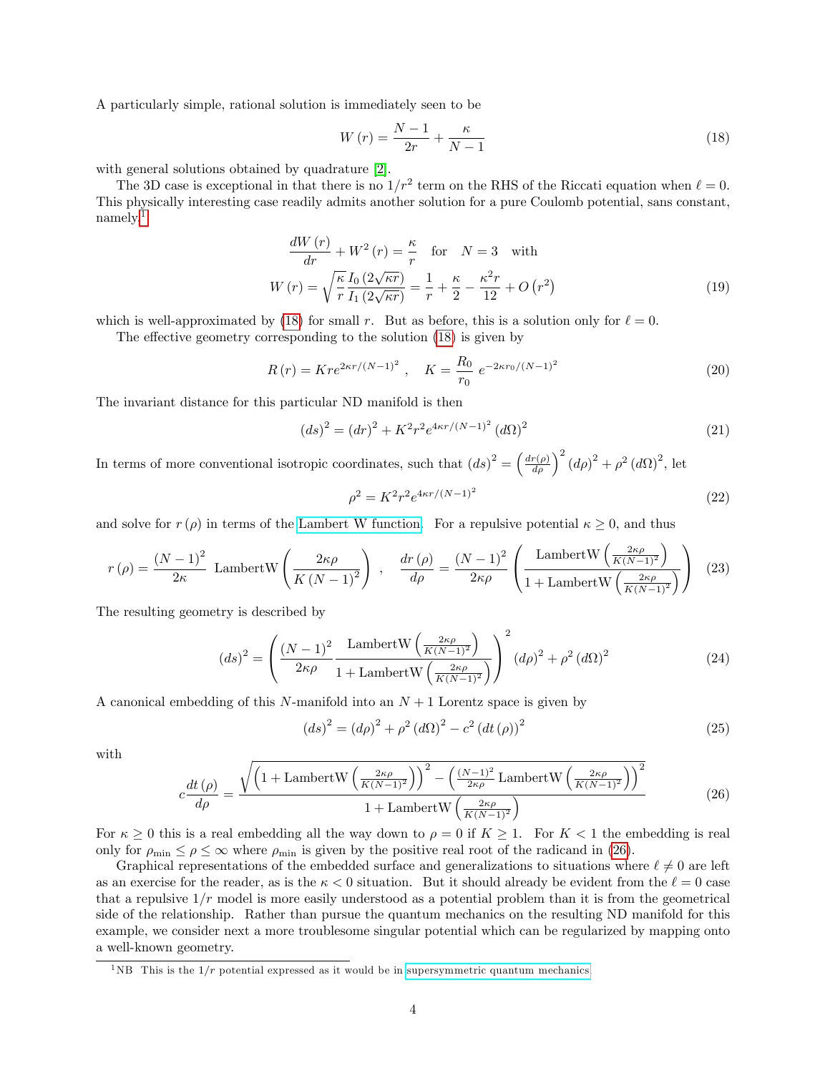A particularly simple, rational solution is immediately seen to be

<span id="page-3-1"></span>
$$
W(r) = \frac{N-1}{2r} + \frac{\kappa}{N-1}
$$
\n(18)

with general solutions obtained by quadrature [\[2\]](#page-14-1).

The 3D case is exceptional in that there is no  $1/r^2$  term on the RHS of the Riccati equation when  $\ell = 0$ . This physically interesting case readily admits another solution for a pure Coulomb potential, sans constant, namely,<sup>[1](#page-3-0)</sup>

$$
\frac{dW(r)}{dr} + W^2(r) = \frac{\kappa}{r} \quad \text{for} \quad N = 3 \quad \text{with}
$$
\n
$$
W(r) = \sqrt{\frac{\kappa}{r}} \frac{I_0(2\sqrt{\kappa r})}{I_1(2\sqrt{\kappa r})} = \frac{1}{r} + \frac{\kappa}{2} - \frac{\kappa^2 r}{12} + O\left(r^2\right)
$$
\n
$$
\tag{19}
$$

which is well-approximated by [\(18\)](#page-3-1) for small r. But as before, this is a solution only for  $\ell = 0$ .

The effective geometry corresponding to the solution  $(18)$  is given by

$$
R(r) = Kre^{2\kappa r/(N-1)^2}, \quad K = \frac{R_0}{r_0} e^{-2\kappa r_0/(N-1)^2}
$$
\n(20)

The invariant distance for this particular ND manifold is then

$$
(ds)^{2} = (dr)^{2} + K^{2}r^{2}e^{4\kappa r/(N-1)^{2}} (d\Omega)^{2}
$$
\n(21)

In terms of more conventional isotropic coordinates, such that  $(ds)^2 = \left(\frac{dr(\rho)}{d\rho}\right)^2 (d\rho)^2 + \rho^2 (d\Omega)^2$ , let

$$
\rho^2 = K^2 r^2 e^{4\kappa r/(N-1)^2}
$$
\n(22)

and solve for  $r(\rho)$  in terms of the [Lambert W function.](https://en.wikipedia.org/wiki/Lambert_W_function) For a repulsive potential  $\kappa \geq 0$ , and thus

$$
r(\rho) = \frac{(N-1)^2}{2\kappa} \text{ LambertW}\left(\frac{2\kappa\rho}{K(N-1)^2}\right) , \quad \frac{dr(\rho)}{d\rho} = \frac{(N-1)^2}{2\kappa\rho} \left(\frac{\text{LambertW}\left(\frac{2\kappa\rho}{K(N-1)^2}\right)}{1+\text{LambertW}\left(\frac{2\kappa\rho}{K(N-1)^2}\right)}\right) (23)
$$

The resulting geometry is described by

$$
(ds)^{2} = \left(\frac{\left(N-1\right)^{2}}{2\kappa\rho} \frac{\text{LambertW}\left(\frac{2\kappa\rho}{K(N-1)^{2}}\right)}{1+\text{LambertW}\left(\frac{2\kappa\rho}{K(N-1)^{2}}\right)}\right)^{2} \left(d\rho\right)^{2} + \rho^{2} \left(d\Omega\right)^{2}
$$
\n(24)

A canonical embedding of this N-manifold into an  $N+1$  Lorentz space is given by

$$
(ds)^{2} = (d\rho)^{2} + \rho^{2} (d\Omega)^{2} - c^{2} (dt (\rho))^{2}
$$
\n(25)

with

<span id="page-3-2"></span>
$$
c\frac{dt\left(\rho\right)}{d\rho} = \frac{\sqrt{\left(1 + \text{LambertW}\left(\frac{2\kappa\rho}{K(N-1)^2}\right)\right)^2 - \left(\frac{(N-1)^2}{2\kappa\rho}\text{LambertW}\left(\frac{2\kappa\rho}{K(N-1)^2}\right)\right)^2}}{1 + \text{LambertW}\left(\frac{2\kappa\rho}{K(N-1)^2}\right)}\tag{26}
$$

For  $\kappa \geq 0$  this is a real embedding all the way down to  $\rho = 0$  if  $K \geq 1$ . For  $K < 1$  the embedding is real only for  $\rho_{\min} \leq \rho \leq \infty$  where  $\rho_{\min}$  is given by the positive real root of the radicand in [\(26\)](#page-3-2).

Graphical representations of the embedded surface and generalizations to situations where  $\ell \neq 0$  are left as an exercise for the reader, as is the  $\kappa < 0$  situation. But it should already be evident from the  $\ell = 0$  case that a repulsive  $1/r$  model is more easily understood as a potential problem than it is from the geometrical side of the relationship. Rather than pursue the quantum mechanics on the resulting ND manifold for this example, we consider next a more troublesome singular potential which can be regularized by mapping onto a well-known geometry.

<span id="page-3-0"></span><sup>&</sup>lt;sup>1</sup>NB This is the  $1/r$  potential expressed as it would be in [supersymmetric quantum mechanics.](https://en.wikipedia.org/wiki/Supersymmetric_quantum_mechanics)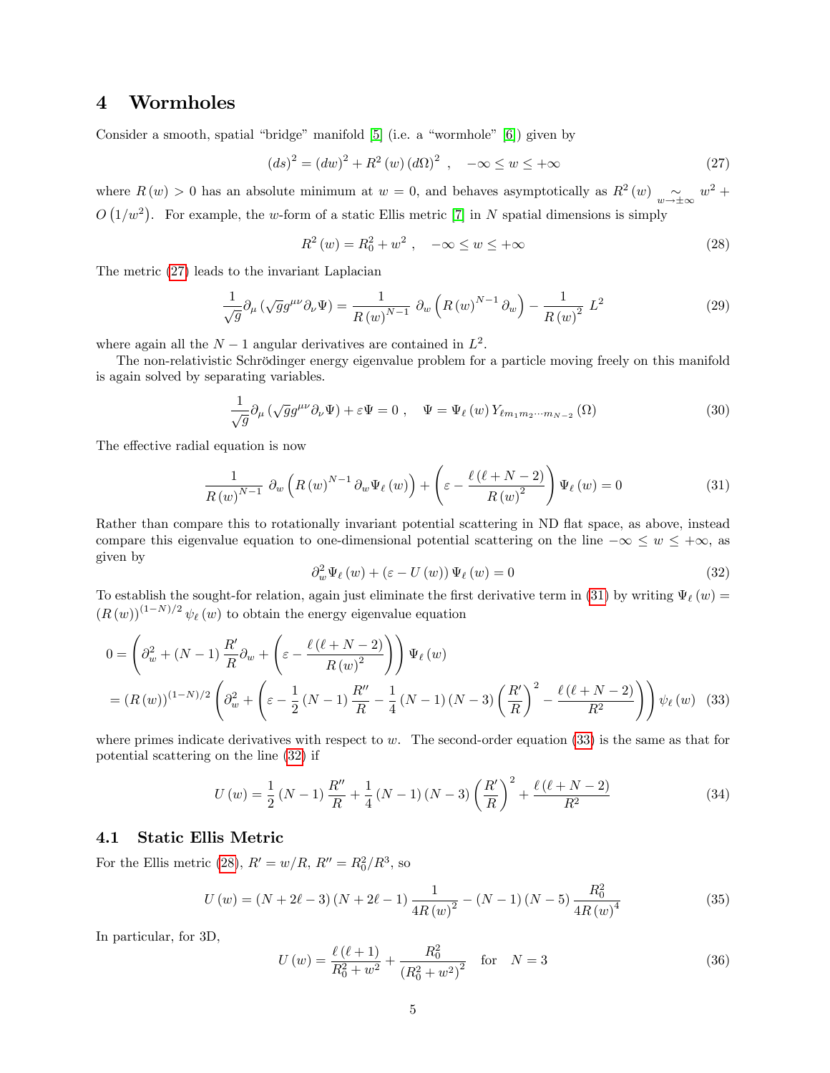### <span id="page-4-0"></span>4 Wormholes

Consider a smooth, spatial "bridge" manifold  $[5]$  (i.e. a "wormhole"  $[6]$ ) given by

<span id="page-4-2"></span>
$$
(ds)^{2} = (dw)^{2} + R^{2}(w) (d\Omega)^{2} , \quad -\infty \le w \le +\infty
$$
 (27)

where  $R(w) > 0$  has an absolute minimum at  $w = 0$ , and behaves asymptotically as  $R^2(w) \sim_{w \to \pm \infty} w^2 +$  $O(1/w^2)$ . For example, the w-form of a static Ellis metric [\[7\]](#page-14-6) in N spatial dimensions is simply

<span id="page-4-6"></span>
$$
R^{2}(w) = R_{0}^{2} + w^{2} , \quad -\infty \le w \le +\infty
$$
 (28)

The metric [\(27\)](#page-4-2) leads to the invariant Laplacian

$$
\frac{1}{\sqrt{g}}\partial_{\mu}\left(\sqrt{g}g^{\mu\nu}\partial_{\nu}\Psi\right) = \frac{1}{R(w)^{N-1}}\partial_{w}\left(R(w)^{N-1}\partial_{w}\right) - \frac{1}{R(w)^{2}}L^{2}
$$
\n(29)

where again all the  $N-1$  angular derivatives are contained in  $L^2$ .

The non-relativistic Schrödinger energy eigenvalue problem for a particle moving freely on this manifold is again solved by separating variables.

$$
\frac{1}{\sqrt{g}}\partial_{\mu}\left(\sqrt{g}g^{\mu\nu}\partial_{\nu}\Psi\right) + \varepsilon\Psi = 0 \ , \quad \Psi = \Psi_{\ell}\left(w\right)Y_{\ell m_1 m_2 \cdots m_{N-2}}\left(\Omega\right) \tag{30}
$$

The effective radial equation is now

<span id="page-4-3"></span>
$$
\frac{1}{R(w)^{N-1}} \partial_w \left( R(w)^{N-1} \partial_w \Psi_\ell(w) \right) + \left( \varepsilon - \frac{\ell(\ell+N-2)}{R(w)^2} \right) \Psi_\ell(w) = 0 \tag{31}
$$

Rather than compare this to rotationally invariant potential scattering in ND flat space, as above, instead compare this eigenvalue equation to one-dimensional potential scattering on the line  $-\infty \leq w \leq +\infty$ , as given by

<span id="page-4-5"></span><span id="page-4-4"></span>
$$
\partial_w^2 \Psi_\ell(w) + (\varepsilon - U(w)) \Psi_\ell(w) = 0 \tag{32}
$$

To establish the sought-for relation, again just eliminate the first derivative term in [\(31\)](#page-4-3) by writing  $\Psi_{\ell}(w)$  =  $(R(w))^{(1-N)/2}$   $\psi_{\ell}(w)$  to obtain the energy eigenvalue equation

$$
0 = \left(\partial_w^2 + (N-1)\frac{R'}{R}\partial_w + \left(\varepsilon - \frac{\ell(\ell+N-2)}{R(w)^2}\right)\right)\Psi_\ell(w)
$$
  
=  $(R(w))^{(1-N)/2}\left(\partial_w^2 + \left(\varepsilon - \frac{1}{2}(N-1)\frac{R''}{R} - \frac{1}{4}(N-1)(N-3)\left(\frac{R'}{R}\right)^2 - \frac{\ell(\ell+N-2)}{R^2}\right)\right)\psi_\ell(w)$  (33)

where primes indicate derivatives with respect to w. The second-order equation  $(33)$  is the same as that for potential scattering on the line [\(32\)](#page-4-5) if

<span id="page-4-8"></span>
$$
U(w) = \frac{1}{2}(N-1)\frac{R''}{R} + \frac{1}{4}(N-1)(N-3)\left(\frac{R'}{R}\right)^2 + \frac{\ell(\ell+N-2)}{R^2}
$$
(34)

#### <span id="page-4-1"></span>4.1 Static Ellis Metric

For the Ellis metric [\(28\)](#page-4-6),  $R' = w/R$ ,  $R'' = R_0^2/R^3$ , so

<span id="page-4-7"></span>
$$
U(w) = (N + 2\ell - 3)(N + 2\ell - 1)\frac{1}{4R(w)^2} - (N - 1)(N - 5)\frac{R_0^2}{4R(w)^4}
$$
(35)

In particular, for 3D,

$$
U(w) = \frac{\ell(\ell+1)}{R_0^2 + w^2} + \frac{R_0^2}{\left(R_0^2 + w^2\right)^2} \quad \text{for} \quad N = 3 \tag{36}
$$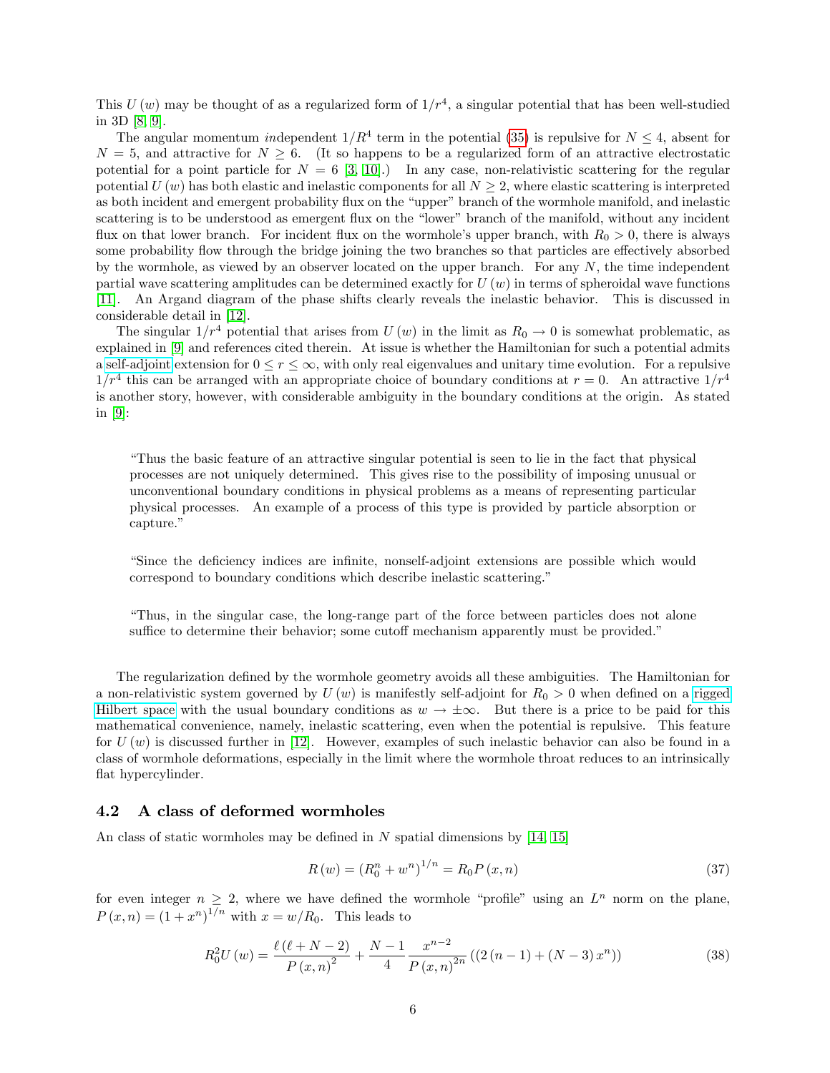This  $U(w)$  may be thought of as a regularized form of  $1/r<sup>4</sup>$ , a singular potential that has been well-studied in 3D [\[8,](#page-14-7) [9\]](#page-14-8).

The angular momentum independent  $1/R^4$  term in the potential [\(35\)](#page-4-7) is repulsive for  $N \leq 4$ , absent for  $N = 5$ , and attractive for  $N \geq 6$ . (It so happens to be a regularized form of an attractive electrostatic potential for a point particle for  $N = 6$  [\[3,](#page-14-2) [10\]](#page-14-9).) In any case, non-relativistic scattering for the regular potential  $U(w)$  has both elastic and inelastic components for all  $N \geq 2$ , where elastic scattering is interpreted as both incident and emergent probability flux on the "upper" branch of the wormhole manifold, and inelastic scattering is to be understood as emergent flux on the "lower" branch of the manifold, without any incident flux on that lower branch. For incident flux on the wormhole's upper branch, with  $R_0 > 0$ , there is always some probability flow through the bridge joining the two branches so that particles are effectively absorbed by the wormhole, as viewed by an observer located on the upper branch. For any  $N$ , the time independent partial wave scattering amplitudes can be determined exactly for  $U(w)$  in terms of spheroidal wave functions [\[11\]](#page-14-10). An Argand diagram of the phase shifts clearly reveals the inelastic behavior. This is discussed in considerable detail in [\[12\]](#page-14-11).

The singular  $1/r^4$  potential that arises from U (w) in the limit as  $R_0 \rightarrow 0$  is somewhat problematic, as explained in [\[9\]](#page-14-8) and references cited therein. At issue is whether the Hamiltonian for such a potential admits a [self-adjoint](https://en.wikipedia.org/wiki/Self-adjoint_operator#:~:text=Self-adjoint%20operators%20are%20used%20in%20functional%20analysis%20and,represented%20by%20self-adjoint%20operators%20on%20a%20Hilbert%20space.) extension for  $0 \le r \le \infty$ , with only real eigenvalues and unitary time evolution. For a repulsive  $1/r^4$  this can be arranged with an appropriate choice of boundary conditions at  $r = 0$ . An attractive  $1/r^4$ is another story, however, with considerable ambiguity in the boundary conditions at the origin. As stated in [\[9\]](#page-14-8):

ìThus the basic feature of an attractive singular potential is seen to lie in the fact that physical processes are not uniquely determined. This gives rise to the possibility of imposing unusual or unconventional boundary conditions in physical problems as a means of representing particular physical processes. An example of a process of this type is provided by particle absorption or capture."

ìSince the deÖciency indices are inÖnite, nonself-adjoint extensions are possible which would correspond to boundary conditions which describe inelastic scattering.<sup>n</sup>

ìThus, in the singular case, the long-range part of the force between particles does not alone suffice to determine their behavior; some cutoff mechanism apparently must be provided."

The regularization defined by the wormhole geometry avoids all these ambiguities. The Hamiltonian for a non-relativistic system governed by  $U(w)$  is manifestly self-adjoint for  $R_0 > 0$  when defined on a [rigged](https://en.wikipedia.org/wiki/Rigged_Hilbert_space) [Hilbert space](https://en.wikipedia.org/wiki/Rigged_Hilbert_space) with the usual boundary conditions as  $w \to \pm \infty$ . But there is a price to be paid for this mathematical convenience, namely, inelastic scattering, even when the potential is repulsive. This feature for  $U(w)$  is discussed further in [\[12\]](#page-14-11). However, examples of such inelastic behavior can also be found in a class of wormhole deformations, especially in the limit where the wormhole throat reduces to an intrinsically flat hypercylinder.

#### <span id="page-5-0"></span>4.2 A class of deformed wormholes

An class of static wormholes may be defined in  $N$  spatial dimensions by [\[14,](#page-14-12) [15\]](#page-14-13)

$$
R(w) = (R_0^n + w^n)^{1/n} = R_0 P(x, n)
$$
\n(37)

for even integer  $n \geq 2$ , where we have defined the wormhole "profile" using an  $L^n$  norm on the plane,  $P(x, n) = (1 + x^n)^{1/n}$  with  $x = w/R_0$ . This leads to

$$
R_0^2 U(w) = \frac{\ell(\ell+N-2)}{P(x,n)^2} + \frac{N-1}{4} \frac{x^{n-2}}{P(x,n)^{2n}} \left( (2(n-1) + (N-3)x^n) \right) \tag{38}
$$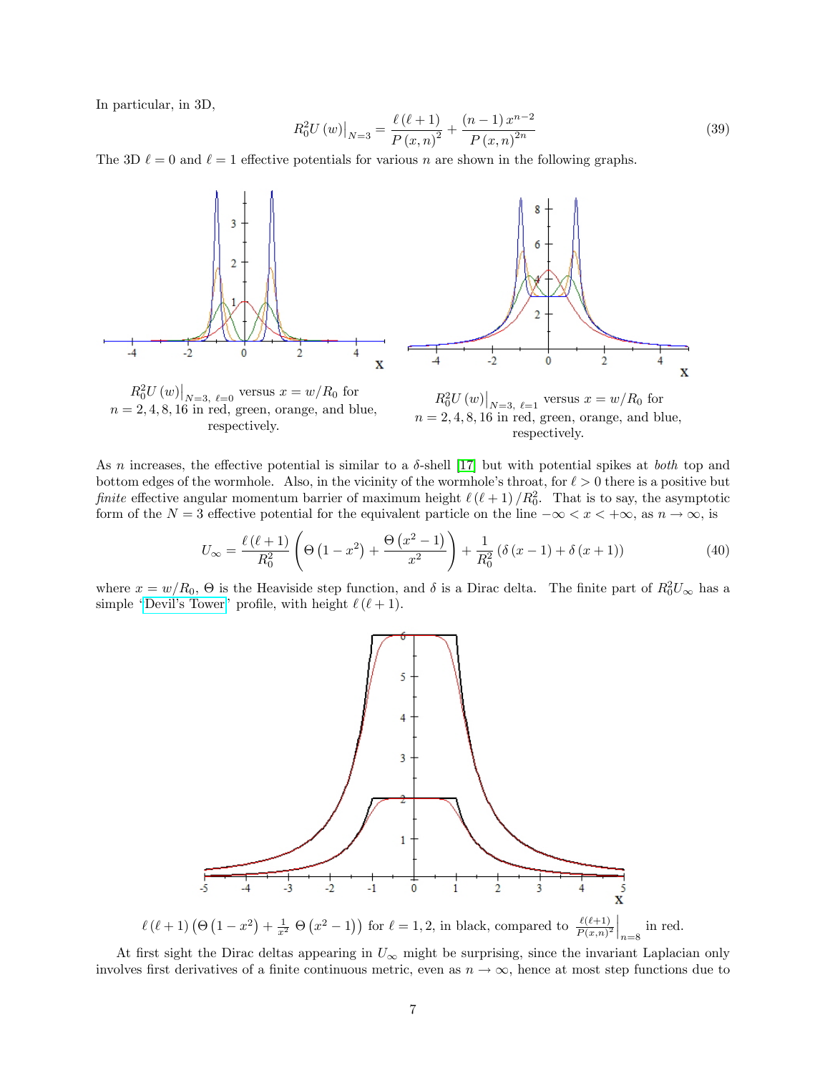In particular, in 3D,

$$
R_0^2 U(w)|_{N=3} = \frac{\ell(\ell+1)}{P(x,n)^2} + \frac{(n-1)x^{n-2}}{P(x,n)^{2n}}
$$
\n(39)

The 3D  $\ell = 0$  and  $\ell = 1$  effective potentials for various n are shown in the following graphs.



As n increases, the effective potential is similar to a  $\delta$ -shell [\[17\]](#page-14-14) but with potential spikes at *both* top and bottom edges of the wormhole. Also, in the vicinity of the wormhole's throat, for  $\ell > 0$  there is a positive but finite effective angular momentum barrier of maximum height  $\ell(\ell+1)/R_0^2$ . That is to say, the asymptotic form of the  $N = 3$  effective potential for the equivalent particle on the line  $-\infty < x < +\infty$ , as  $n \to \infty$ , is

$$
U_{\infty} = \frac{\ell(\ell+1)}{R_0^2} \left( \Theta\left(1 - x^2\right) + \frac{\Theta\left(x^2 - 1\right)}{x^2} \right) + \frac{1}{R_0^2} \left( \delta\left(x - 1\right) + \delta\left(x + 1\right) \right) \tag{40}
$$

where  $x = w/R_0$ ,  $\Theta$  is the Heaviside step function, and  $\delta$  is a Dirac delta. The finite part of  $R_0^2 U_{\infty}$  has a simple "Devil's Tower" profile, with height  $\ell$  ( $\ell + 1$ ).



At first sight the Dirac deltas appearing in  $U_{\infty}$  might be surprising, since the invariant Laplacian only involves first derivatives of a finite continuous metric, even as  $n \to \infty$ , hence at most step functions due to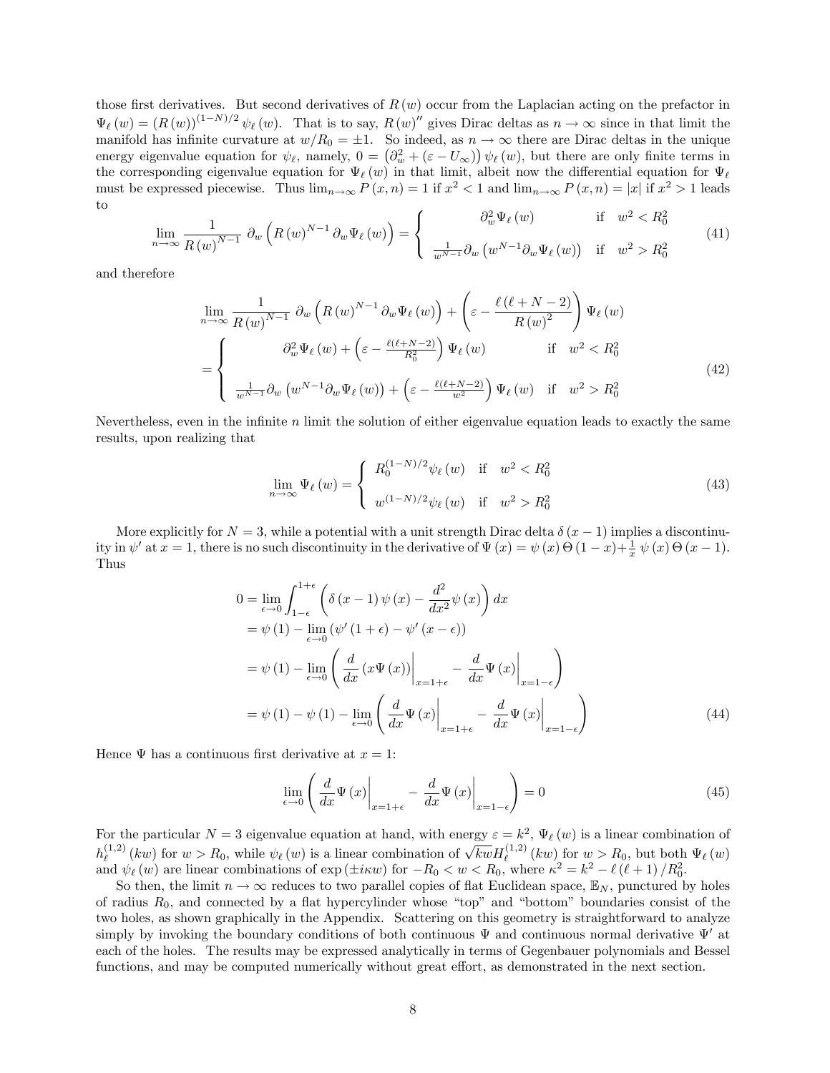those first derivatives. But second derivatives of  $R(w)$  occur from the Laplacian acting on the prefactor in  $\Psi_{\ell}(w) = (R(w))^{(1-N)/2} \psi_{\ell}(w)$ . That is to say,  $R(w)''$  gives Dirac deltas as  $n \to \infty$  since in that limit the manifold has infinite curvature at  $w/R_0 = \pm 1$ . So indeed, as  $n \to \infty$  there are Dirac deltas in the unique energy eigenvalue equation for  $\psi_{\ell}$ , namely,  $0 = (\partial_w^2 + (\varepsilon - U_{\infty})) \psi_{\ell}(w)$ , but there are only finite terms in the corresponding eigenvalue equation for  $\Psi_{\ell}(w)$  in that limit, albeit now the differential equation for  $\Psi_{\ell}$ must be expressed piecewise. Thus  $\lim_{n\to\infty} P(x,n) = 1$  if  $x^2 < 1$  and  $\lim_{n\to\infty} P(x,n) = |x|$  if  $x^2 > 1$  leads to

$$
\lim_{n \to \infty} \frac{1}{R(w)^{N-1}} \partial_w \left( R(w)^{N-1} \partial_w \Psi_\ell(w) \right) = \begin{cases} \partial_w^2 \Psi_\ell(w) & \text{if } w^2 < R_0^2\\ \frac{1}{w^{N-1}} \partial_w \left( w^{N-1} \partial_w \Psi_\ell(w) \right) & \text{if } w^2 > R_0^2 \end{cases} \tag{41}
$$

and therefore

$$
\lim_{n \to \infty} \frac{1}{R(w)^{N-1}} \partial_w \left( R(w)^{N-1} \partial_w \Psi_\ell(w) \right) + \left( \varepsilon - \frac{\ell(\ell+N-2)}{R(w)^2} \right) \Psi_\ell(w)
$$
\n
$$
= \begin{cases}\n\partial_w^2 \Psi_\ell(w) + \left( \varepsilon - \frac{\ell(\ell+N-2)}{R_0^2} \right) \Psi_\ell(w) & \text{if } w^2 < R_0^2 \\
\frac{1}{w^{N-1}} \partial_w \left( w^{N-1} \partial_w \Psi_\ell(w) \right) + \left( \varepsilon - \frac{\ell(\ell+N-2)}{w^2} \right) \Psi_\ell(w) & \text{if } w^2 > R_0^2\n\end{cases}
$$
\n(42)

Nevertheless, even in the infinite n limit the solution of either eigenvalue equation leads to exactly the same results, upon realizing that

$$
\lim_{n \to \infty} \Psi_{\ell}(w) = \begin{cases} R_0^{(1-N)/2} \psi_{\ell}(w) & \text{if } w^2 < R_0^2 \\ w^{(1-N)/2} \psi_{\ell}(w) & \text{if } w^2 > R_0^2 \end{cases}
$$
(43)

More explicitly for  $N = 3$ , while a potential with a unit strength Dirac delta  $\delta(x - 1)$  implies a discontinuity in  $\psi'$  at  $x = 1$ , there is no such discontinuity in the derivative of  $\Psi(x) = \psi(x) \Theta(1-x) + \frac{1}{x} \psi(x) \Theta(x-1)$ . Thus

$$
0 = \lim_{\epsilon \to 0} \int_{1-\epsilon}^{1+\epsilon} \left( \delta(x-1) \psi(x) - \frac{d^2}{dx^2} \psi(x) \right) dx
$$
  
\n
$$
= \psi(1) - \lim_{\epsilon \to 0} \left( \psi'(1+\epsilon) - \psi'(x-\epsilon) \right)
$$
  
\n
$$
= \psi(1) - \lim_{\epsilon \to 0} \left( \frac{d}{dx} \left( x \Psi(x) \right) \Big|_{x=1+\epsilon} - \frac{d}{dx} \Psi(x) \Big|_{x=1-\epsilon} \right)
$$
  
\n
$$
= \psi(1) - \psi(1) - \lim_{\epsilon \to 0} \left( \frac{d}{dx} \Psi(x) \Big|_{x=1+\epsilon} - \frac{d}{dx} \Psi(x) \Big|_{x=1-\epsilon} \right)
$$
(44)

Hence  $\Psi$  has a continuous first derivative at  $x = 1$ :

$$
\lim_{\epsilon \to 0} \left( \frac{d}{dx} \Psi(x) \bigg|_{x=1+\epsilon} - \frac{d}{dx} \Psi(x) \bigg|_{x=1-\epsilon} \right) = 0 \tag{45}
$$

For the particular  $N=3$  eigenvalue equation at hand, with energy  $\varepsilon = k^2$ ,  $\Psi_{\ell}(w)$  is a linear combination of  $h_{\ell}^{(1,2)}$  $\chi_{\ell}^{(1,2)}(kw)$  for  $w > R_0$ , while  $\psi_{\ell}(w)$  is a linear combination of  $\sqrt{k w} H_{\ell}^{(1,2)}(kw)$  for  $w > R_0$ , but both  $\Psi_{\ell}(w)$ and  $\psi_{\ell}(w)$  are linear combinations of  $\exp(\pm i\kappa w)$  for  $-R_0 < w < R_0$ , where  $\kappa^2 = k^2 - \ell(\ell+1)/R_0^2$ .

So then, the limit  $n \to \infty$  reduces to two parallel copies of flat Euclidean space,  $\mathbb{E}_N$ , punctured by holes of radius  $R_0$ , and connected by a flat hypercylinder whose "top" and "bottom" boundaries consist of the two holes, as shown graphically in the Appendix. Scattering on this geometry is straightforward to analyze simply by invoking the boundary conditions of both continuous  $\Psi$  and continuous normal derivative  $\Psi'$  at each of the holes. The results may be expressed analytically in terms of Gegenbauer polynomials and Bessel functions, and may be computed numerically without great effort, as demonstrated in the next section.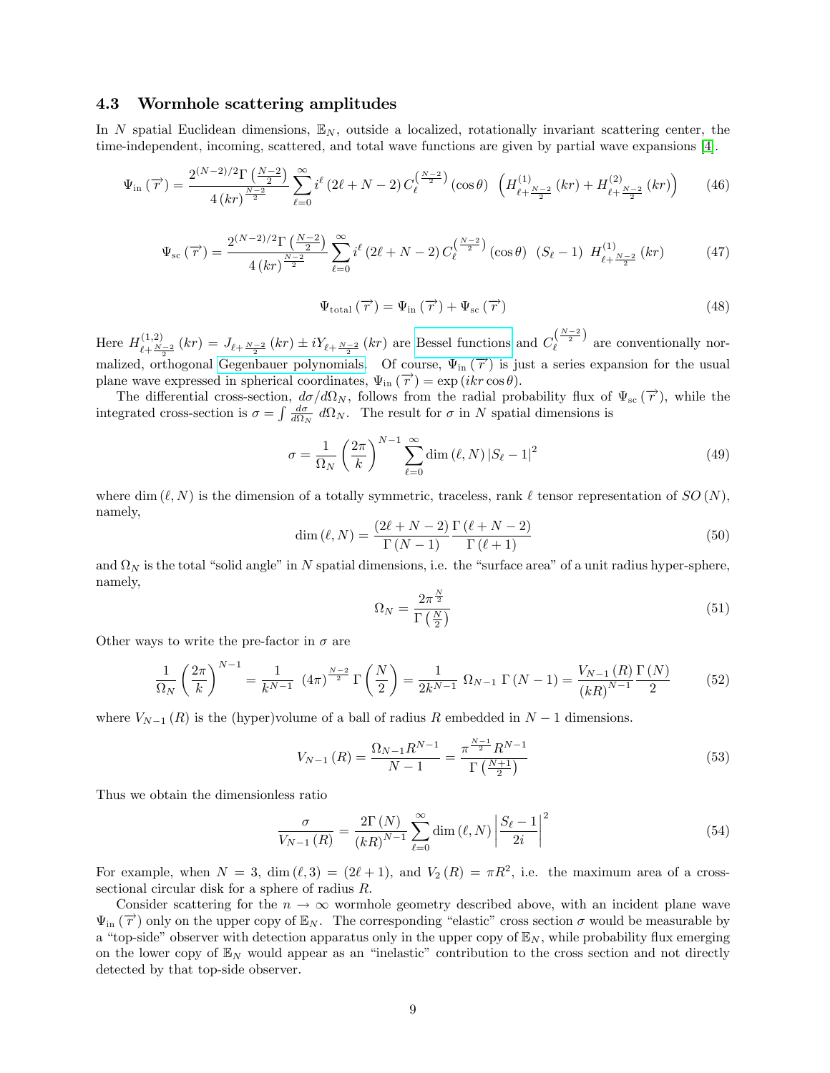#### <span id="page-8-0"></span>4.3 Wormhole scattering amplitudes

In N spatial Euclidean dimensions,  $\mathbb{E}_N$ , outside a localized, rotationally invariant scattering center, the time-independent, incoming, scattered, and total wave functions are given by partial wave expansions [\[4\]](#page-14-3).

$$
\Psi_{\rm in}(\overrightarrow{r}) = \frac{2^{(N-2)/2} \Gamma\left(\frac{N-2}{2}\right)}{4\left(kr\right)^{\frac{N-2}{2}}} \sum_{\ell=0}^{\infty} i^{\ell} \left(2\ell+N-2\right) C_{\ell}^{\left(\frac{N-2}{2}\right)}\left(\cos\theta\right) \left(H_{\ell+\frac{N-2}{2}}^{(1)}\left(kr\right) + H_{\ell+\frac{N-2}{2}}^{(2)}\left(kr\right)\right) \tag{46}
$$

$$
\Psi_{\rm sc}(\overrightarrow{r}) = \frac{2^{(N-2)/2} \Gamma\left(\frac{N-2}{2}\right)}{4\left(kr\right)^{\frac{N-2}{2}}} \sum_{\ell=0}^{\infty} i^{\ell} \left(2\ell+N-2\right) C_{\ell}^{\left(\frac{N-2}{2}\right)} \left(\cos\theta\right) \left(S_{\ell}-1\right) H_{\ell+\frac{N-2}{2}}^{(1)}\left(kr\right) \tag{47}
$$

$$
\Psi_{\text{total}}\left(\overrightarrow{r}\right) = \Psi_{\text{in}}\left(\overrightarrow{r}\right) + \Psi_{\text{sc}}\left(\overrightarrow{r}\right) \tag{48}
$$

Here  $H_{\ell_1,N}^{(1,2)}$  $\chi_{\ell+\frac{N-2}{2}}^{(1,2)}(kr) = J_{\ell+\frac{N-2}{2}}(kr) \pm iY_{\ell+\frac{N-2}{2}}(kr)$  are [Bessel functions](https://en.wikipedia.org/wiki/Bessel_function) and  $C_{\ell}^{\left(\frac{N-2}{2}\right)}$  are conventionally nor-malized, orthogonal [Gegenbauer polynomials.](https://en.wikipedia.org/wiki/Gegenbauer_polynomials) Of course,  $\Psi_{\text{in}}(\vec{r})$  is just a series expansion for the usual plane wave expressed in spherical coordinates,  $\Psi_{\text{in}}(\vec{r}) = \exp(ikr \cos \theta)$ .

The differential cross-section,  $d\sigma/d\Omega_N$ , follows from the radial probability flux of  $\Psi_{\rm sc}(\vec{r})$ , while the integrated cross-section is  $\sigma = \int \frac{d\sigma}{d\Omega_N} d\Omega_N$ . The result for  $\sigma$  in N spatial dimensions is

$$
\sigma = \frac{1}{\Omega_N} \left(\frac{2\pi}{k}\right)^{N-1} \sum_{\ell=0}^{\infty} \dim\left(\ell, N\right) \left|S_{\ell} - 1\right|^2 \tag{49}
$$

where dim  $(\ell, N)$  is the dimension of a totally symmetric, traceless, rank  $\ell$  tensor representation of  $SO(N)$ , namely,

$$
\dim (\ell, N) = \frac{(2\ell + N - 2)}{\Gamma (N - 1)} \frac{\Gamma (\ell + N - 2)}{\Gamma (\ell + 1)}
$$
\n(50)

and  $\Omega_N$  is the total "solid angle" in N spatial dimensions, i.e. the "surface area" of a unit radius hyper-sphere, namely,

$$
\Omega_N = \frac{2\pi^{\frac{N}{2}}}{\Gamma\left(\frac{N}{2}\right)}\tag{51}
$$

Other ways to write the pre-factor in  $\sigma$  are

$$
\frac{1}{\Omega_N} \left(\frac{2\pi}{k}\right)^{N-1} = \frac{1}{k^{N-1}} \left(4\pi\right)^{\frac{N-2}{2}} \Gamma\left(\frac{N}{2}\right) = \frac{1}{2k^{N-1}} \Omega_{N-1} \Gamma(N-1) = \frac{V_{N-1}(R)}{(kR)^{N-1}} \frac{\Gamma(N)}{2} \tag{52}
$$

where  $V_{N-1}(R)$  is the (hyper)volume of a ball of radius R embedded in  $N-1$  dimensions.

$$
V_{N-1}(R) = \frac{\Omega_{N-1}R^{N-1}}{N-1} = \frac{\pi^{\frac{N-1}{2}}R^{N-1}}{\Gamma(\frac{N+1}{2})}
$$
(53)

Thus we obtain the dimensionless ratio

$$
\frac{\sigma}{V_{N-1}\left(R\right)} = \frac{2\Gamma\left(N\right)}{\left(kR\right)^{N-1}} \sum_{\ell=0}^{\infty} \dim\left(\ell, N\right) \left|\frac{S_{\ell}-1}{2i}\right|^2 \tag{54}
$$

For example, when  $N = 3$ , dim  $(\ell, 3) = (2\ell + 1)$ , and  $V_2(R) = \pi R^2$ , i.e. the maximum area of a crosssectional circular disk for a sphere of radius R.

Consider scattering for the  $n \to \infty$  wormhole geometry described above, with an incident plane wave  $\Psi_{\text{in}}(\vec{r})$  only on the upper copy of  $\mathbb{E}_N$ . The corresponding "elastic" cross section  $\sigma$  would be measurable by a "top-side" observer with detection apparatus only in the upper copy of  $\mathbb{E}_N$ , while probability flux emerging on the lower copy of  $\mathbb{E}_N$  would appear as an "inelastic" contribution to the cross section and not directly detected by that top-side observer.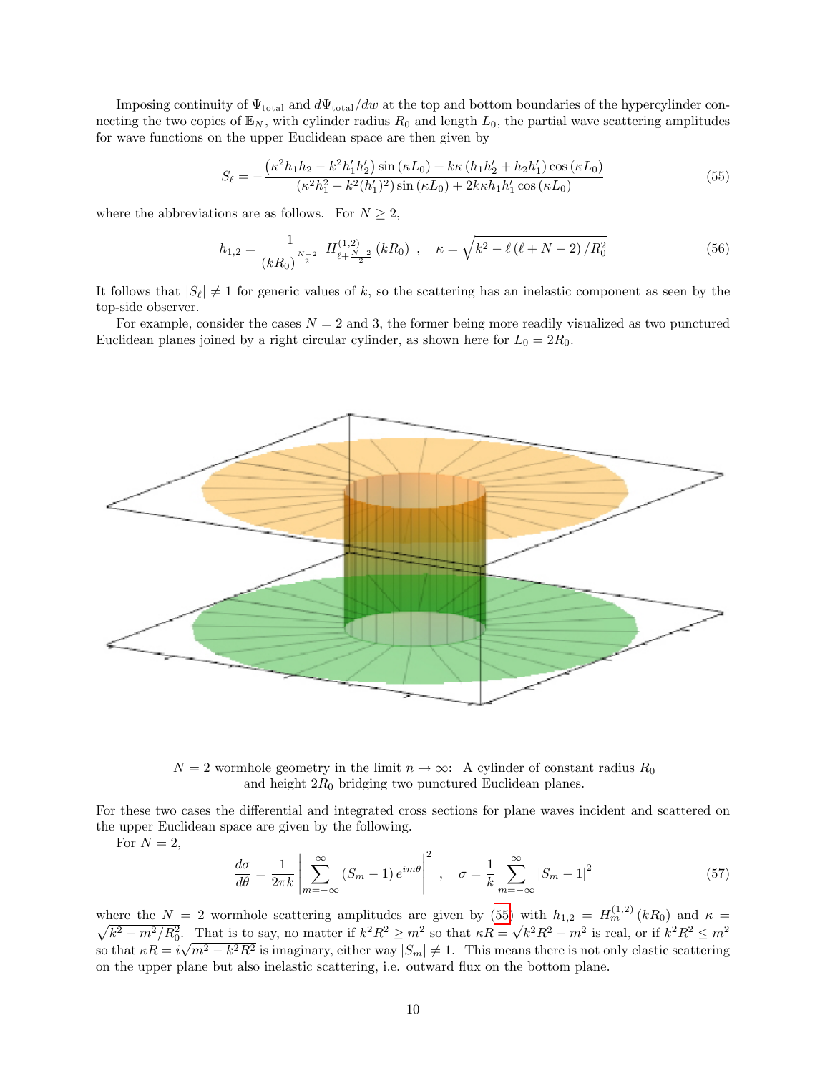Imposing continuity of  $\Psi$ <sub>total</sub> and  $d\Psi$ <sub>total</sub>/dw at the top and bottom boundaries of the hypercylinder connecting the two copies of  $\mathbb{E}_N$ , with cylinder radius  $R_0$  and length  $L_0$ , the partial wave scattering amplitudes for wave functions on the upper Euclidean space are then given by

<span id="page-9-0"></span>
$$
S_{\ell} = -\frac{\left(\kappa^2 h_1 h_2 - \kappa^2 h_1' h_2'\right) \sin\left(\kappa L_0\right) + k\kappa \left(h_1 h_2' + h_2 h_1'\right) \cos\left(\kappa L_0\right)}{\left(\kappa^2 h_1^2 - k^2 (h_1')^2\right) \sin\left(\kappa L_0\right) + 2k\kappa h_1 h_1' \cos\left(\kappa L_0\right)}\tag{55}
$$

where the abbreviations are as follows. For  $N \geq 2$ ,

$$
h_{1,2} = \frac{1}{(kR_0)^{\frac{N-2}{2}}} H_{\ell + \frac{N-2}{2}}^{(1,2)} (kR_0) , \quad \kappa = \sqrt{k^2 - \ell(\ell + N - 2)/R_0^2}
$$
(56)

It follows that  $|S_\ell| \neq 1$  for generic values of k, so the scattering has an inelastic component as seen by the top-side observer.

For example, consider the cases  $N = 2$  and 3, the former being more readily visualized as two punctured Euclidean planes joined by a right circular cylinder, as shown here for  $L_0 = 2R_0$ .



 $N = 2$  wormhole geometry in the limit  $n \to \infty$ : A cylinder of constant radius  $R_0$ and height  $2R_0$  bridging two punctured Euclidean planes.

For these two cases the differential and integrated cross sections for plane waves incident and scattered on the upper Euclidean space are given by the following.

For  $N = 2$ ,

$$
\frac{d\sigma}{d\theta} = \frac{1}{2\pi k} \left| \sum_{m=-\infty}^{\infty} (S_m - 1) e^{im\theta} \right|^2 , \quad \sigma = \frac{1}{k} \sum_{m=-\infty}^{\infty} |S_m - 1|^2
$$
 (57)

where the  $N = 2$  wormhole scattering amplitudes are given by [\(55\)](#page-9-0) with  $h_{1,2} = H_m^{(1,2)}(kR_0)$  and  $\kappa = \sqrt{k^2 - m^2/R_0^2}$ . That is to say, no matter if  $k^2 R^2 \ge m^2$  so that  $\kappa R = \sqrt{k^2 R^2 - m^2}$  is real, or if  $k^2 R^2 \le m^2$ so that  $\kappa R = i\sqrt{m^2 - k^2 R^2}$  is imaginary, either way  $|S_m| \neq 1$ . This means there is not only elastic scattering on the upper plane but also inelastic scattering, i.e. outward áux on the bottom plane.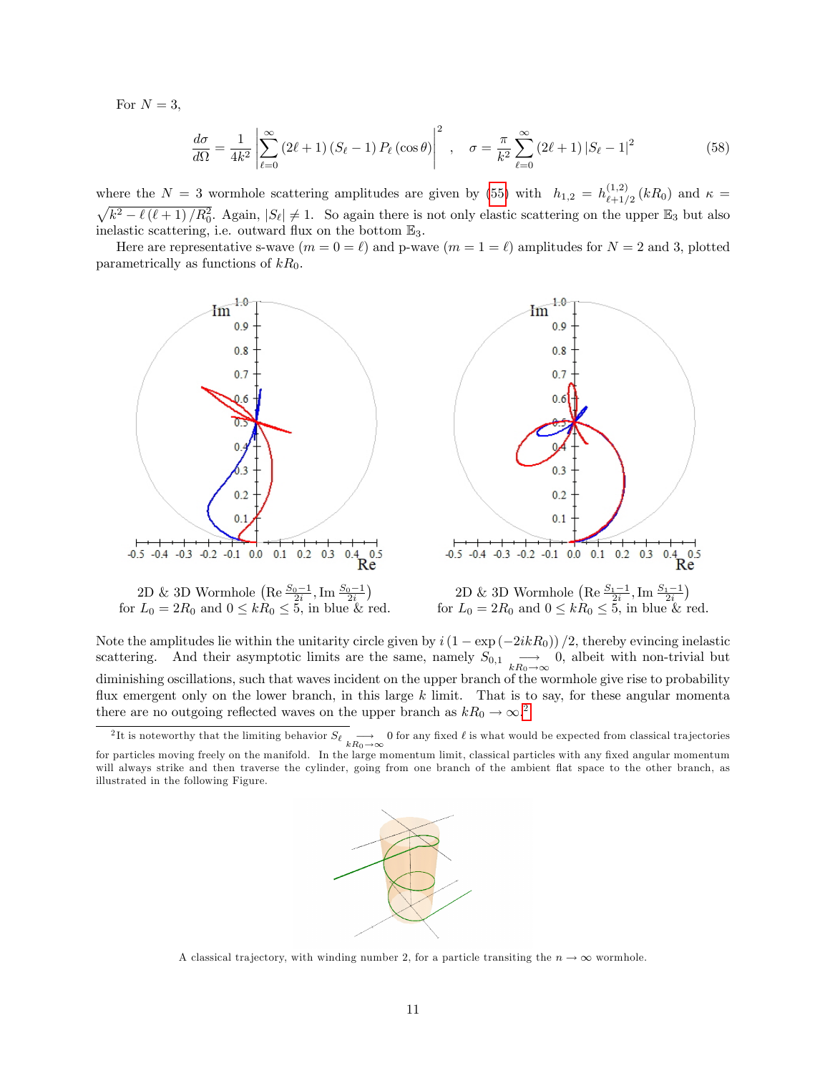For  $N = 3$ ,

$$
\frac{d\sigma}{d\Omega} = \frac{1}{4k^2} \left| \sum_{\ell=0}^{\infty} \left(2\ell+1\right) \left(S_{\ell}-1\right) P_{\ell} \left(\cos\theta\right) \right|^2 , \quad \sigma = \frac{\pi}{k^2} \sum_{\ell=0}^{\infty} \left(2\ell+1\right) \left|S_{\ell}-1\right|^2 \tag{58}
$$

where the  $N = 3$  wormhole scattering amplitudes are given by [\(55\)](#page-9-0) with  $h_{1,2} = h_{\ell+1}^{(1,2)}$  $\int_{\ell+1/2}^{(1,2)} (kR_0)$  and  $\kappa =$  $\sqrt{k^2-\ell(\ell+1)/R_0^2}$ . Again,  $|S_{\ell}|\neq 1$ . So again there is not only elastic scattering on the upper  $\mathbb{E}_3$  but also inelastic scattering, i.e. outward flux on the bottom  $\mathbb{E}_3$ .

Here are representative s-wave  $(m = 0 = \ell)$  and p-wave  $(m = 1 = \ell)$  amplitudes for  $N = 2$  and 3, plotted parametrically as functions of  $kR_0$ .



Note the amplitudes lie within the unitarity circle given by  $i(1 - \exp(-2ikR_0))/2$ , thereby evincing inelastic scattering. And their asymptotic limits are the same, namely  $S_{0,1} \longrightarrow 0$ , albeit with non-trivial but diminishing oscillations, such that waves incident on the upper branch of the wormhole give rise to probability flux emergent only on the lower branch, in this large  $k$  limit. That is to say, for these angular momenta there are no outgoing reflected waves on the upper branch as  $kR_0 \rightarrow \infty$ .<sup>[2](#page-10-0)</sup>

<span id="page-10-0"></span><sup>&</sup>lt;sup>2</sup>It is noteworthy that the limiting behavior  $S_{\ell} \longrightarrow 0$  for any fixed  $\ell$  is what would be expected from classical trajectories for particles moving freely on the manifold. In the large momentum limit, classical particles with any fixed angular momentum will always strike and then traverse the cylinder, going from one branch of the ambient flat space to the other branch, as illustrated in the following Figure.



A classical trajectory, with winding number 2, for a particle transiting the  $n \to \infty$  wormhole.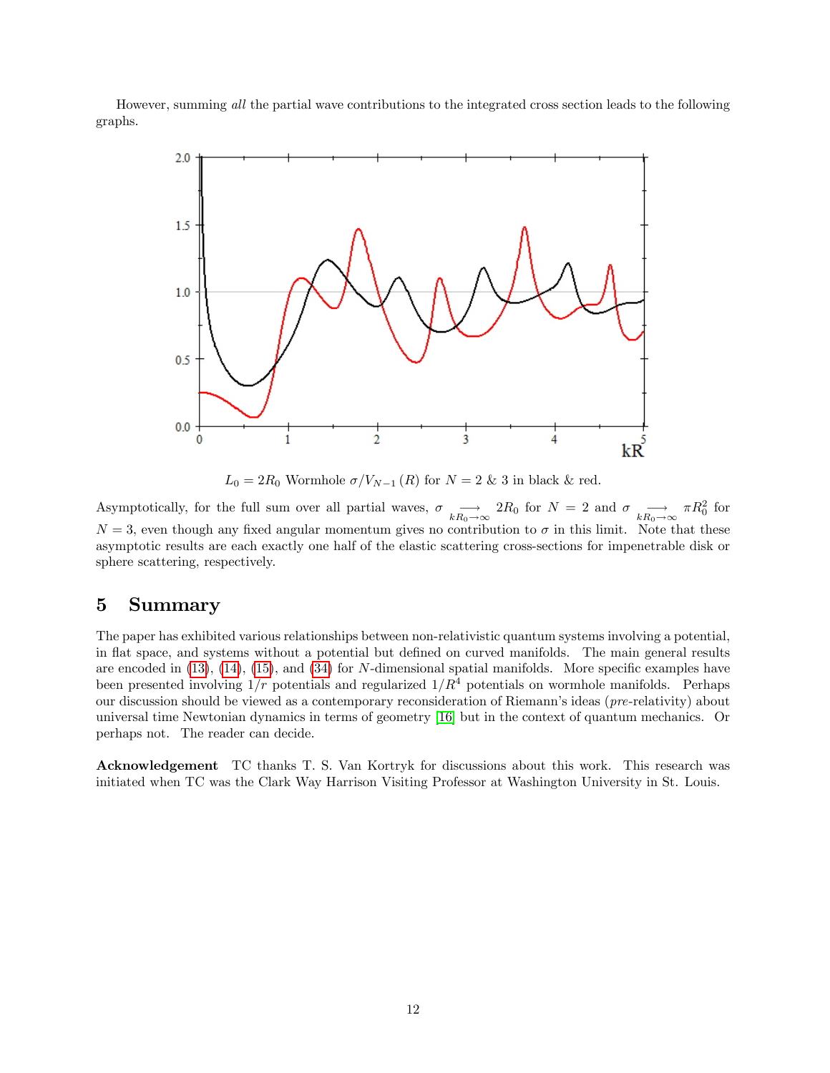However, summing all the partial wave contributions to the integrated cross section leads to the following graphs.



 $L_0 = 2R_0$  Wormhole  $\sigma/V_{N-1} (R)$  for  $N = 2 \& 3$  in black & red.

Asymptotically, for the full sum over all partial waves,  $\sigma \longrightarrow 2R_0$  for  $N = 2$  and  $\sigma \longrightarrow \pi R_0^2$  for  $N = 3$ , even though any fixed angular momentum gives no contribution to  $\sigma$  in this limit. Note that these asymptotic results are each exactly one half of the elastic scattering cross-sections for impenetrable disk or sphere scattering, respectively.

### <span id="page-11-0"></span>5 Summary

The paper has exhibited various relationships between non-relativistic quantum systems involving a potential, in flat space, and systems without a potential but defined on curved manifolds. The main general results are encoded in  $(13)$ ,  $(14)$ ,  $(15)$ , and  $(34)$  for N-dimensional spatial manifolds. More specific examples have been presented involving  $1/r$  potentials and regularized  $1/R<sup>4</sup>$  potentials on wormhole manifolds. Perhaps our discussion should be viewed as a contemporary reconsideration of Riemann's ideas (pre-relativity) about universal time Newtonian dynamics in terms of geometry [\[16\]](#page-14-15) but in the context of quantum mechanics. Or perhaps not. The reader can decide.

Acknowledgement TC thanks T. S. Van Kortryk for discussions about this work. This research was initiated when TC was the Clark Way Harrison Visiting Professor at Washington University in St. Louis.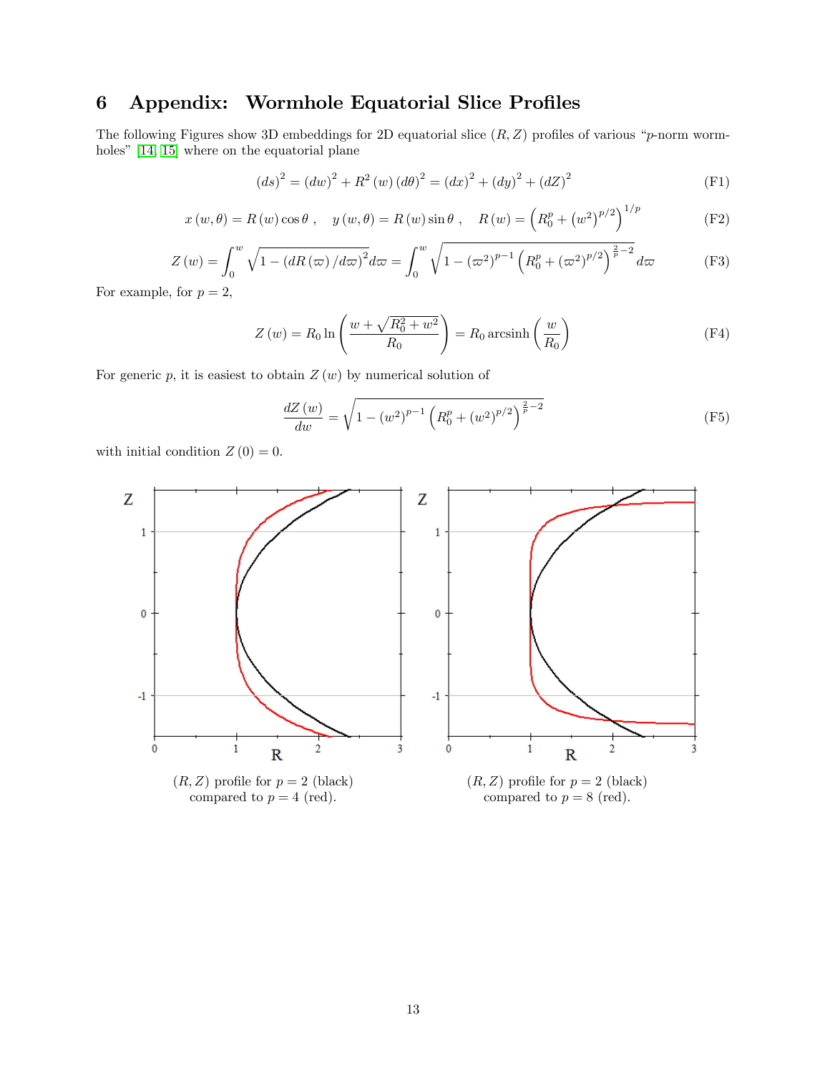# <span id="page-12-0"></span>6 Appendix: Wormhole Equatorial Slice Profiles

The following Figures show 3D embeddings for 2D equatorial slice  $(R, Z)$  profiles of various "p-norm wormholes"  $[14, 15]$  $[14, 15]$  where on the equatorial plane

$$
(ds)^{2} = (dw)^{2} + R^{2}(w) (d\theta)^{2} = (dx)^{2} + (dy)^{2} + (dZ)^{2}
$$
 (F1)

$$
x(w,\theta) = R(w)\cos\theta, \quad y(w,\theta) = R(w)\sin\theta, \quad R(w) = \left(R_0^p + \left(w^2\right)^{p/2}\right)^{1/p}
$$
 (F2)

$$
Z(w) = \int_0^w \sqrt{1 - (dR(\varpi)/d\varpi)^2} d\varpi = \int_0^w \sqrt{1 - (\varpi^2)^{p-1} \left(R_0^p + (\varpi^2)^{p/2}\right)^{\frac{2}{p}-2}} d\varpi
$$
 (F3)

For example, for  $p=2,$ 

$$
Z(w) = R_0 \ln \left( \frac{w + \sqrt{R_0^2 + w^2}}{R_0} \right) = R_0 \operatorname{arcsinh} \left( \frac{w}{R_0} \right)
$$
 (F4)

For generic  $p$ , it is easiest to obtain  $Z(w)$  by numerical solution of

$$
\frac{dZ(w)}{dw} = \sqrt{1 - (w^2)^{p-1} \left( R_0^p + (w^2)^{p/2} \right)^{\frac{2}{p}-2}}
$$
(F5)

with initial condition  $Z(0) = 0$ .

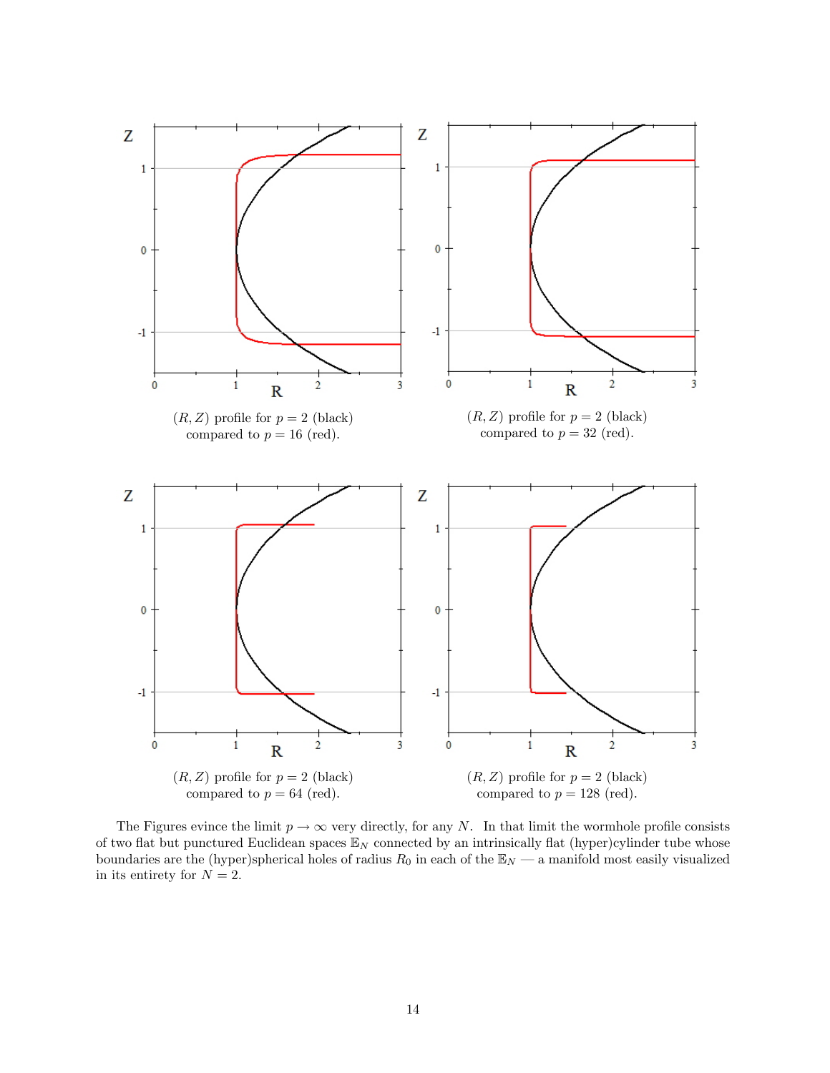

The Figures evince the limit  $p \to \infty$  very directly, for any N. In that limit the wormhole profile consists of two flat but punctured Euclidean spaces  $\mathbb{E}_N$  connected by an intrinsically flat (hyper)cylinder tube whose boundaries are the (hyper)spherical holes of radius  $R_0$  in each of the  $\mathbb{E}_N$  – a manifold most easily visualized in its entirety for  $N = 2$ .